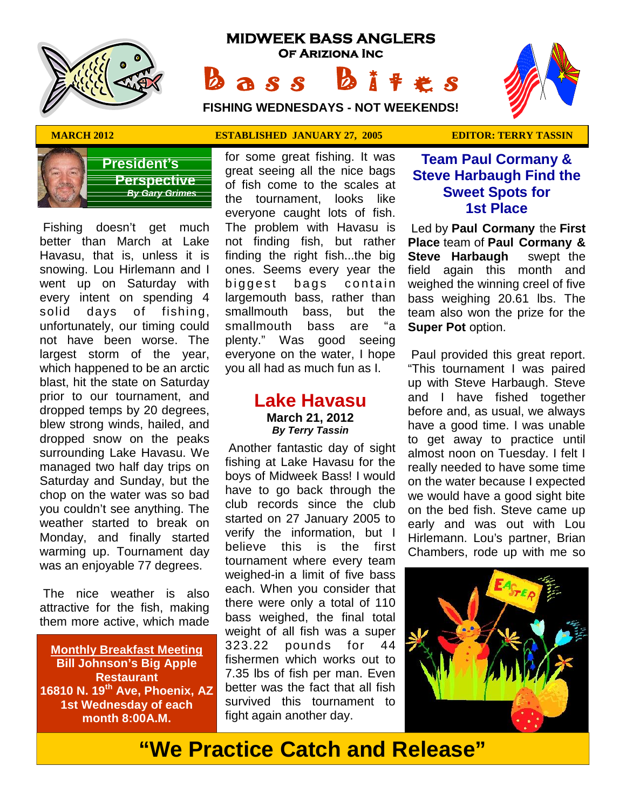

# **MIDWEEK BASS ANGLERS Of Ariziona Inc B a s s b** i t extends:<br> **B a s s b** i t  $\ast$  s<br>
FISHING WEDNESDAYS - NOT WEEKENDS!

**FISHING WEDNESDAYS - NOT WEEKENDS!**





**President's Perspective**  *By Gary Grimes*

 Fishing doesn't get much better than March at Lake Havasu, that is, unless it is snowing. Lou Hirlemann and I went up on Saturday with biggest every intent on spending 4 solid days of fishing, unfortunately, our timing could not have been worse. The largest storm of the year, which happened to be an arctic blast, hit the state on Saturday prior to our tournament, and dropped temps by 20 degrees, blew strong winds, hailed, and dropped snow on the peaks surrounding Lake Havasu. We managed two half day trips on Saturday and Sunday, but the chop on the water was so bad you couldn't see anything. The weather started to break on Monday, and finally started warming up. Tournament day was an enjoyable 77 degrees.

 The nice weather is also attractive for the fish, making them more active, which made

**Monthly Breakfast Meeting Bill Johnson's Big Apple Restaurant 16810 N. 19th Ave, Phoenix, AZ 1st Wednesday of each month 8:00A.M.**

## **MARCH 2012 ESTABLISHED JANUARY 27, 2005 EDITOR: TERRY TASSIN**

for some great fishing. It was great seeing all the nice bags of fish come to the scales at the tournament, looks like everyone caught lots of fish. The problem with Havasu is not finding fish, but rather finding the right fish...the big ones. Seems every year the everyone caught lots of fish.<br>The problem with Havasu is Led by<br>not finding fish, but rather **Place** f<br>finding the right fish...the big **Steve**<br>ones. Seems every year the field a<br>biggest bags contain weighe<br>largemouth bass largemouth bass, rather than smallmouth bass, but the smallmouth bass are "a plenty." Was good seeing everyone on the water, I hope you all had as much fun as I.

# **Lake Havasu March 21, 2012** *By Terry Tassin*

 Another fantastic day of sight fishing at Lake Havasu for the boys of Midweek Bass! I would have to go back through the club records since the club started on 27 January 2005 to verify the information, but I believe this is the first tournament where every team weighed-in a limit of five bass each. When you consider that there were only a total of 110 bass weighed, the final total weight of all fish was a super 323.22 pounds for 44 fishermen which works out to 7.35 lbs of fish per man. Even better was the fact that all fish survived this tournament to fight again another day.

# **Team Paul Cormany & Steve Harbaugh Find the Sweet Spots for 1st Place**

 Led by **Paul Cormany** the **First Place** team of **Paul Cormany & Steve Harbaugh** swept the field again this month and weighed the winning creel of five bass weighing 20.61 lbs. The team also won the prize for the **Super Pot** option.

 Paul provided this great report. "This tournament I was paired up with Steve Harbaugh. Steve and I have fished together before and, as usual, we always have a good time. I was unable to get away to practice until almost noon on Tuesday. I felt I really needed to have some time on the water because I expected we would have a good sight bite on the bed fish. Steve came up early and was out with Lou Hirlemann. Lou's partner, Brian Chambers, rode up with me so



**"We Practice Catch and Release"**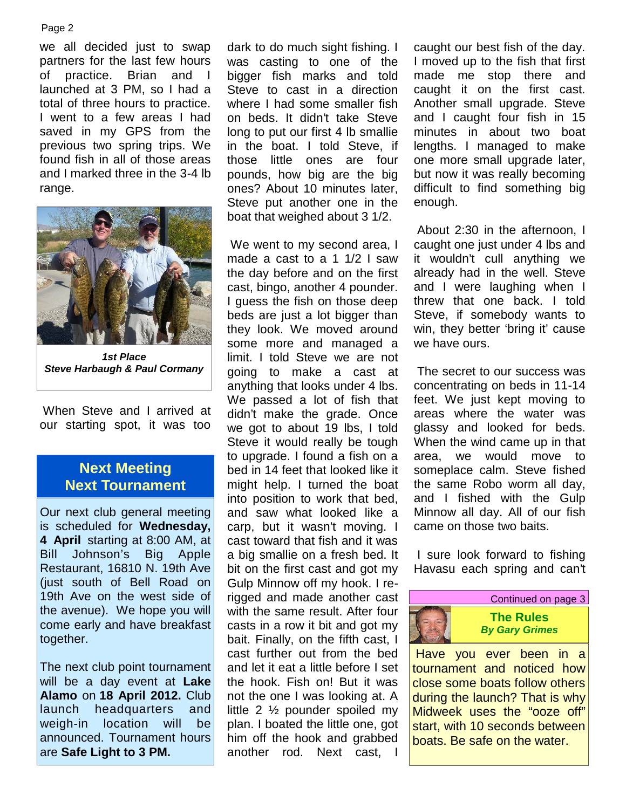#### Page 2

we all decided just to swap partners for the last few hours of practice. Brian and I launched at 3 PM, so I had a total of three hours to practice. I went to a few areas I had saved in my GPS from the previous two spring trips. We found fish in all of those areas and I marked three in the 3-4 lb range.



*1st Place Steve Harbaugh & Paul Cormany*

 When Steve and I arrived at our starting spot, it was too

# **Next Meeting Next Tournament**

Our next club general meeting is scheduled for **Wednesday, 4 April** starting at 8:00 AM, at Bill Johnson's Big Apple Restaurant, 16810 N. 19th Ave (just south of Bell Road on 19th Ave on the west side of the avenue). We hope you will come early and have breakfast together.

The next club point tournament will be a day event at **Lake Alamo** on **18 April 2012.** Club launch headquarters and weigh-in location will be announced. Tournament hours are **Safe Light to 3 PM.**

dark to do much sight fishing. I was casting to one of the bigger fish marks and told Steve to cast in a direction where I had some smaller fish on beds. It didn't take Steve long to put our first 4 lb smallie in the boat. I told Steve, if those little ones are four pounds, how big are the big ones? About 10 minutes later, Steve put another one in the boat that weighed about 3 1/2.

 We went to my second area, I made a cast to a 1 1/2 I saw the day before and on the first cast, bingo, another 4 pounder. I guess the fish on those deep beds are just a lot bigger than they look. We moved around some more and managed a limit. I told Steve we are not going to make a cast at anything that looks under 4 lbs. We passed a lot of fish that didn't make the grade. Once we got to about 19 lbs, I told Steve it would really be tough to upgrade. I found a fish on a bed in 14 feet that looked like it might help. I turned the boat into position to work that bed, and saw what looked like a carp, but it wasn't moving. I cast toward that fish and it was a big smallie on a fresh bed. It bit on the first cast and got my Gulp Minnow off my hook. I rerigged and made another cast with the same result. After four casts in a row it bit and got my bait. Finally, on the fifth cast, I cast further out from the bed and let it eat a little before I set the hook. Fish on! But it was not the one I was looking at. A little 2 ½ pounder spoiled my plan. I boated the little one, got him off the hook and grabbed another rod. Next cast, I

caught our best fish of the day. I moved up to the fish that first made me stop there and caught it on the first cast. Another small upgrade. Steve and I caught four fish in 15 minutes in about two boat lengths. I managed to make one more small upgrade later, but now it was really becoming difficult to find something big enough.

 About 2:30 in the afternoon, I caught one just under 4 lbs and it wouldn't cull anything we already had in the well. Steve and I were laughing when I threw that one back. I told Steve, if somebody wants to win, they better 'bring it' cause we have ours.

 The secret to our success was concentrating on beds in 11-14 feet. We just kept moving to areas where the water was glassy and looked for beds. When the wind came up in that we would move to someplace calm. Steve fished the same Robo worm all day, and I fished with the Gulp Minnow all day. All of our fish came on those two baits.

 I sure look forward to fishing Havasu each spring and can't



 Have you ever been in a tournament and noticed how close some boats follow others during the launch? That is why Midweek uses the "ooze off" start, with 10 seconds between boats. Be safe on the water.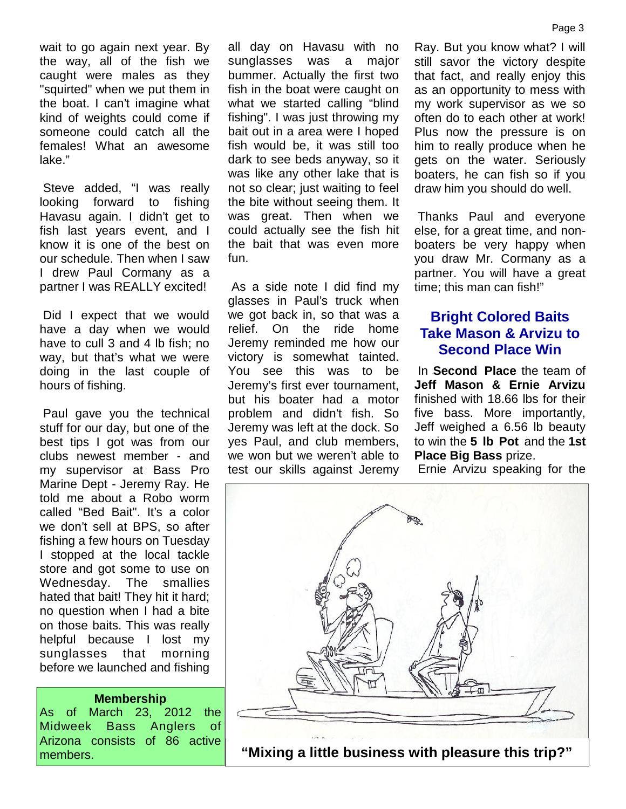wait to go again next year. By the way, all of the fish we caught were males as they "squirted" when we put them in the boat. I can't imagine what kind of weights could come if someone could catch all the females! What an awesome lake."

 Steve added, "I was really looking forward to fishing Havasu again. I didn't get to fish last years event, and I know it is one of the best on our schedule. Then when I saw I drew Paul Cormany as a partner I was REALLY excited!

 Did I expect that we would have a day when we would have to cull 3 and 4 lb fish; no way, but that's what we were doing in the last couple of hours of fishing.

 Paul gave you the technical stuff for our day, but one of the best tips I got was from our clubs newest member - and my supervisor at Bass Pro Marine Dept - Jeremy Ray. He told me about a Robo worm called "Bed Bait". It's a color we don't sell at BPS, so after fishing a few hours on Tuesday I stopped at the local tackle store and got some to use on Wednesday. The smallies hated that bait! They hit it hard; no question when I had a bite on those baits. This was really helpful because I lost my sunglasses that morning before we launched and fishing

#### **Membership**

As of March 23, 2012 the Midweek Bass Anglers of Arizona consists of 86 active members.

all day on Havasu with no sunglasses was a major bummer. Actually the first two fish in the boat were caught on what we started calling "blind fishing". I was just throwing my bait out in a area were I hoped fish would be, it was still too dark to see beds anyway, so it was like any other lake that is not so clear; just waiting to feel the bite without seeing them. It was great. Then when we could actually see the fish hit the bait that was even more fun.

 As a side note I did find my glasses in Paul's truck when we got back in, so that was a relief. On the ride home Jeremy reminded me how our victory is somewhat tainted. You see this was to be Jeremy's first ever tournament, but his boater had a motor problem and didn't fish. So Jeremy was left at the dock. So yes Paul, and club members, we won but we weren't able to test our skills against Jeremy

Ray. But you know what? I will still savor the victory despite that fact, and really enjoy this as an opportunity to mess with my work supervisor as we so often do to each other at work! Plus now the pressure is on him to really produce when he gets on the water. Seriously boaters, he can fish so if you draw him you should do well.

 Thanks Paul and everyone else, for a great time, and non boaters be very happy when you draw Mr. Cormany as a partner. You will have a great time; this man can fish!"

# **Bright Colored Baits Take Mason & Arvizu to Second Place Win**

 In **Second Place** the team of **Jeff Mason & Ernie Arvizu** finished with 18.66 lbs for their five bass. More importantly, Jeff weighed a 6.56 lb beauty to win the **5 lb Pot** and the **1st Place Big Bass** prize.

Ernie Arvizu speaking for the

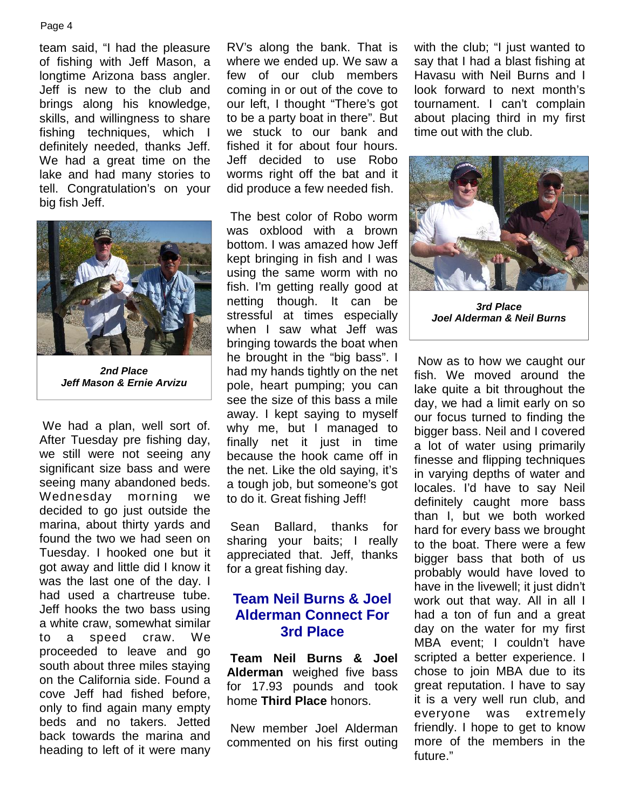#### Page 4

team said, "I had the pleasure of fishing with Jeff Mason, a longtime Arizona bass angler. Jeff is new to the club and brings along his knowledge, skills, and willingness to share fishing techniques, which I definitely needed, thanks Jeff. We had a great time on the lake and had many stories to tell. Congratulation's on your big fish Jeff.



*2nd Place Jeff Mason & Ernie Arvizu*

 We had a plan, well sort of. After Tuesday pre fishing day, we still were not seeing any significant size bass and were seeing many abandoned beds. Wednesday morning we decided to go just outside the marina, about thirty yards and Sean found the two we had seen on Tuesday. I hooked one but it got away and little did I know it was the last one of the day. I had used a chartreuse tube. Jeff hooks the two bass using a white craw, somewhat similar to a speed craw. We proceeded to leave and go south about three miles staying on the California side. Found a cove Jeff had fished before, only to find again many empty beds and no takers. Jetted back towards the marina and heading to left of it were many

RV's along the bank. That is where we ended up. We saw a few of our club members coming in or out of the cove to our left, I thought "There's got to be a party boat in there". But we stuck to our bank and fished it for about four hours. Jeff decided to use Robo worms right off the bat and it did produce a few needed fish.

 The best color of Robo worm was oxblood with a brown bottom. I was amazed how Jeff kept bringing in fish and I was using the same worm with no fish. I'm getting really good at netting though. It can be stressful at times especially when I saw what Jeff was bringing towards the boat when he brought in the "big bass". I had my hands tightly on the net pole, heart pumping; you can see the size of this bass a mile away. I kept saying to myself why me, but I managed to finally net it just in time because the hook came off in the net. Like the old saying, it's a tough job, but someone's got to do it. Great fishing Jeff!

Ballard, thanks for sharing your baits; I really appreciated that. Jeff, thanks for a great fishing day.

# **Team Neil Burns & Joel Alderman Connect For 3rd Place**

**Team Neil Burns & Joel Alderman** weighed five bass for 17.93 pounds and took home **Third Place** honors.

 New member Joel Alderman commented on his first outing with the club; "I just wanted to say that I had a blast fishing at Havasu with Neil Burns and I look forward to next month's tournament. I can't complain about placing third in my first time out with the club.



*3rd Place Joel Alderman & Neil Burns*

 Now as to how we caught our fish. We moved around the lake quite a bit throughout the day, we had a limit early on so our focus turned to finding the bigger bass. Neil and I covered a lot of water using primarily finesse and flipping techniques in varying depths of water and locales. I'd have to say Neil definitely caught more bass than I, but we both worked hard for every bass we brought to the boat. There were a few bigger bass that both of us probably would have loved to have in the livewell; it just didn't work out that way. All in all I had a ton of fun and a great day on the water for my first MBA event; I couldn't have scripted a better experience. I chose to join MBA due to its great reputation. I have to say it is a very well run club, and everyone was extremely friendly. I hope to get to know more of the members in the future."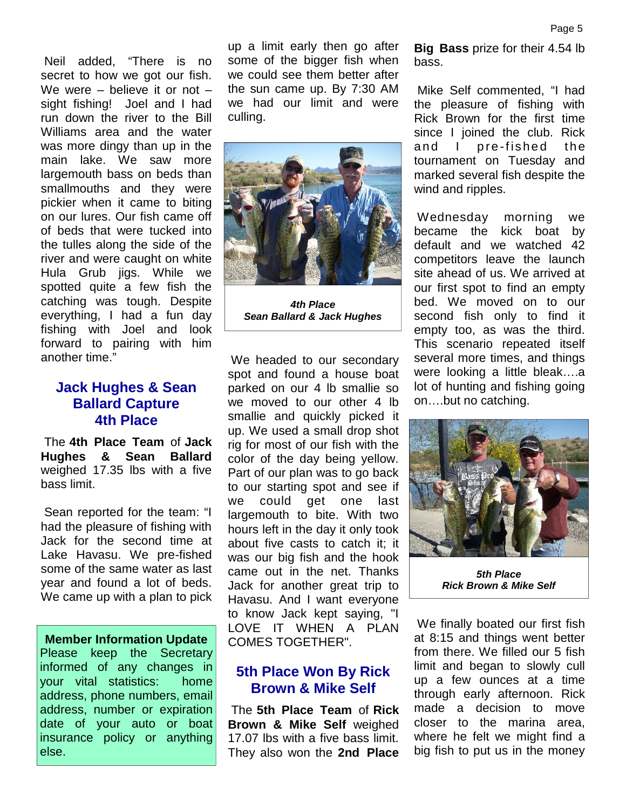Neil added, "There is no secret to how we got our fish. We were – believe it or not – sight fishing! Joel and I had run down the river to the Bill Williams area and the water was more dingy than up in the main lake. We saw more largemouth bass on beds than smallmouths and they were pickier when it came to biting on our lures. Our fish came off of beds that were tucked into the tulles along the side of the river and were caught on white Hula Grub jigs. While we spotted quite a few fish the catching was tough. Despite everything, I had a fun day fishing with Joel and look forward to pairing with him another time."

# **Jack Hughes & Sean Ballard Capture 4th Place**

 The **4th Place Team** of **Jack Hughes & Sean Ballard** weighed 17.35 lbs with a five bass limit.

 Sean reported for the team: "I had the pleasure of fishing with Jack for the second time at Lake Havasu. We pre-fished some of the same water as last year and found a lot of beds. We came up with a plan to pick

**Member Information Update** Please keep the Secretary informed of any changes in your vital statistics: home address, phone numbers, email address, number or expiration date of your auto or boat insurance policy or anything else.

up a limit early then go after some of the bigger fish when we could see them better after the sun came up. By 7:30 AM we had our limit and were culling.



*4th Place Sean Ballard & Jack Hughes*

 We headed to our secondary spot and found a house boat parked on our 4 lb smallie so we moved to our other 4 lb smallie and quickly picked it up. We used a small drop shot rig for most of our fish with the color of the day being yellow. Part of our plan was to go back to our starting spot and see if we could get one last largemouth to bite. With two hours left in the day it only took about five casts to catch it; it was our big fish and the hook came out in the net. Thanks Jack for another great trip to Havasu. And I want everyone to know Jack kept saying, "I LOVE IT WHEN A PLAN COMES TOGETHER".

# **5th Place Won By Rick Brown & Mike Self**

 The **5th Place Team** of **Rick Brown & Mike Self** weighed 17.07 lbs with a five bass limit. They also won the **2nd Place** **Big Bass** prize for their 4.54 lb bass.

 Mike Self commented, "I had the pleasure of fishing with Rick Brown for the first time since I joined the club. Rick Mike Self commented, "I had<br>the pleasure of fishing with<br>Rick Brown for the first time<br>since I joined the club. Rick<br>and I pre-fished the<br>tournament on Tuesday and<br>marked several fishedespite the tournament on Tuesday and marked several fish despite the wind and ripples.

 Wednesday morning we became the kick boat by default and we watched 42 competitors leave the launch site ahead of us. We arrived at our first spot to find an empty bed. We moved on to our second fish only to find it empty too, as was the third. This scenario repeated itself several more times, and things were looking a little bleak….a lot of hunting and fishing going on….but no catching.



*5th Place Rick Brown & Mike Self*

 We finally boated our first fish at 8:15 and things went better from there. We filled our 5 fish limit and began to slowly cull up a few ounces at a time through early afternoon. Rick made a decision to move closer to the marina area, where he felt we might find a big fish to put us in the money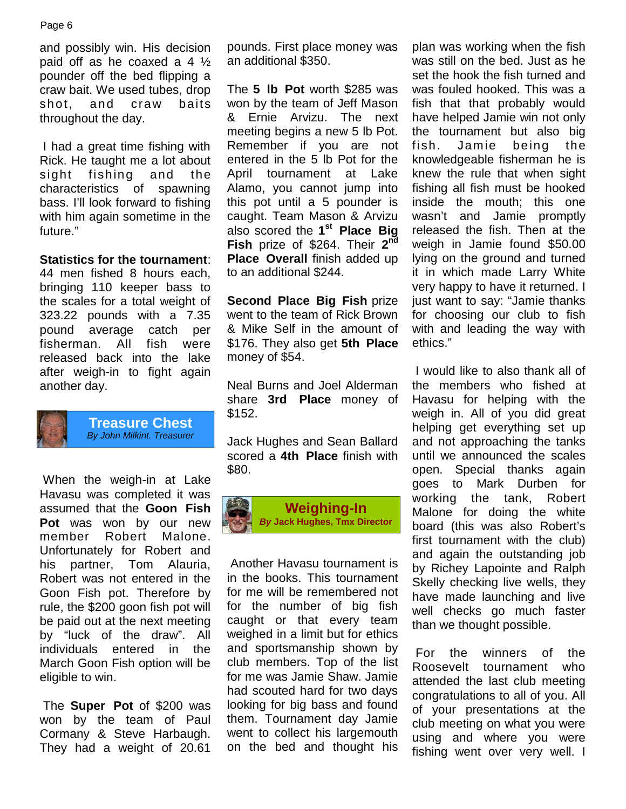#### Page 6

and possibly win. His decision paid off as he coaxed a 4  $\frac{1}{2}$ pounder off the bed flipping a craw bait. We used tubes, drop shot, and craw baits throughout the day.

 I had a great time fishing with Rick. He taught me a lot about sight fishing and the characteristics of spawning bass. I'll look forward to fishing with him again sometime in the future."

### **Statistics for the tournament**:

44 men fished 8 hours each, bringing 110 keeper bass to the scales for a total weight of 323.22 pounds with a 7.35 pound average catch per fisherman. All fish were released back into the lake after weigh-in to fight again another day.



**Treasure Chest** *By John Milkint. Treasurer*

 When the weigh-in at Lake Havasu was completed it was assumed that the **Goon Fish Pot** was won by our new member Robert Malone. Unfortunately for Robert and his partner, Tom Alauria, Robert was not entered in the Goon Fish pot. Therefore by rule, the \$200 goon fish pot will be paid out at the next meeting by "luck of the draw". All individuals entered in the March Goon Fish option will be eligible to win.

 The **Super Pot** of \$200 was won by the team of Paul Cormany & Steve Harbaugh. They had a weight of 20.61

pounds. First place money was an additional \$350.

The **5 lb Pot** worth \$285 was won by the team of Jeff Mason & Ernie Arvizu. The next meeting begins a new 5 lb Pot. Remember if you are not entered in the 5 lb Pot for the April tournament at Lake Alamo, you cannot jump into this pot until a 5 pounder is caught. Team Mason & Arvizu also scored the **1 st Place Big Fish** prize of \$264. Their **2 Place Overall** finish added up to an additional \$244.

**Second Place Big Fish** prize went to the team of Rick Brown & Mike Self in the amount of \$176. They also get **5th Place** money of \$54.

Neal Burns and Joel Alderman share **3rd Place** money of \$152.

Jack Hughes and Sean Ballard scored a **4th Place** finish with \$80.



 Another Havasu tournament is in the books. This tournament for me will be remembered not for the number of big fish caught or that every team weighed in a limit but for ethics and sportsmanship shown by club members. Top of the list for me was Jamie Shaw. Jamie had scouted hard for two days looking for big bass and found them. Tournament day Jamie went to collect his largemouth on the bed and thought his

**nd** weigh in Jamie found \$50.00 plan was working when the fish was still on the bed. Just as he set the hook the fish turned and was fouled hooked. This was a fish that that probably would have helped Jamie win not only the tournament but also big Jamie being the knowledgeable fisherman he is knew the rule that when sight fishing all fish must be hooked inside the mouth; this one wasn't and Jamie promptly released the fish. Then at the lying on the ground and turned it in which made Larry White very happy to have it returned. I just want to say: "Jamie thanks for choosing our club to fish with and leading the way with ethics."

 I would like to also thank all of the members who fished at Havasu for helping with the weigh in. All of you did great helping get everything set up and not approaching the tanks until we announced the scales open. Special thanks again goes to Mark Durben for working the tank, Robert Malone for doing the white board (this was also Robert's first tournament with the club) and again the outstanding job by Richey Lapointe and Ralph Skelly checking live wells, they have made launching and live well checks go much faster than we thought possible.

 For the winners of the Roosevelt tournament who attended the last club meeting congratulations to all of you. All of your presentations at the club meeting on what you were using and where you were fishing went over very well. I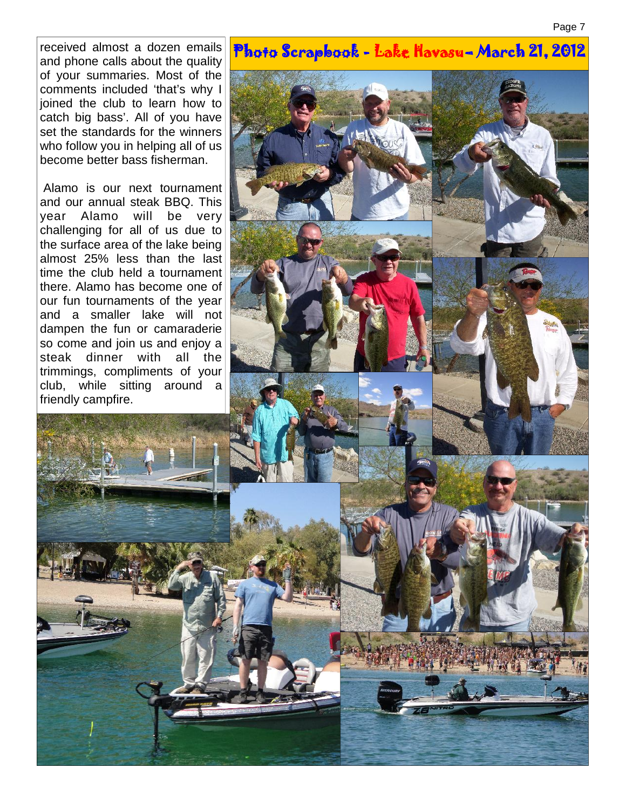received almost a dozen emails and phone calls about the quality of your summaries. Most of the comments included 'that's why I joined the club to learn how to catch big bass'. All of you have set the standards for the winners who follow you in helping all of us become better bass fisherman.

 Alamo is our next tournament and our annual steak BBQ. This year Alamo will be very challenging for all of us due to the surface area of the lake being almost 25% less than the last time the club held a tournament there. Alamo has become one of our fun tournaments of the year and a smaller lake will not dampen the fun or camaraderie so come and join us and enjoy a steak dinner with all the trimmings, compliments of your club, while sitting around a friendly campfire.